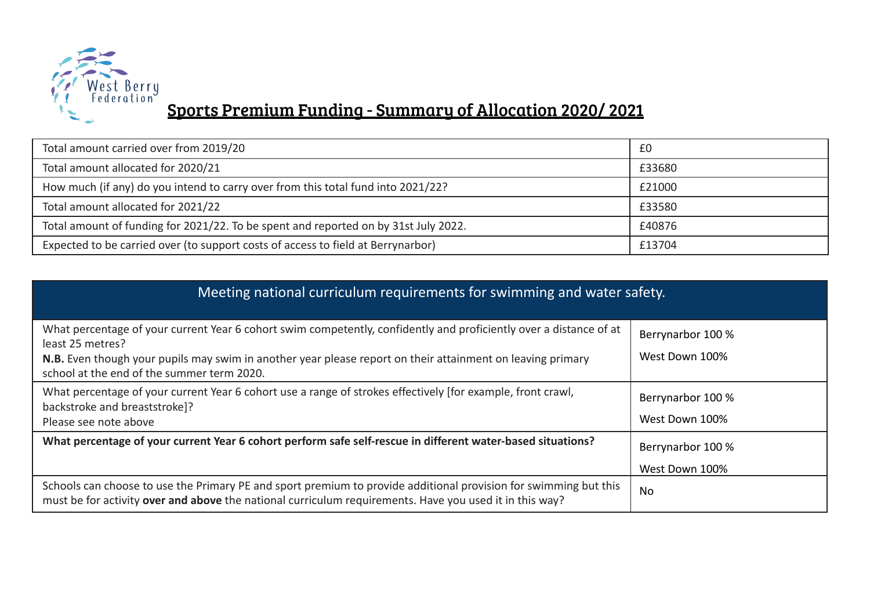

## Sports Premium Funding - Summary of Allocation 2020/ 2021

| Total amount carried over from 2019/20                                              | £0     |
|-------------------------------------------------------------------------------------|--------|
| Total amount allocated for 2020/21                                                  | £33680 |
| How much (if any) do you intend to carry over from this total fund into 2021/22?    | £21000 |
| Total amount allocated for 2021/22                                                  | £33580 |
| Total amount of funding for 2021/22. To be spent and reported on by 31st July 2022. | £40876 |
| Expected to be carried over (to support costs of access to field at Berrynarbor)    | £13704 |

| Meeting national curriculum requirements for swimming and water safety.                                                                                                                                                                                                                            |                                     |  |  |
|----------------------------------------------------------------------------------------------------------------------------------------------------------------------------------------------------------------------------------------------------------------------------------------------------|-------------------------------------|--|--|
| What percentage of your current Year 6 cohort swim competently, confidently and proficiently over a distance of at<br>least 25 metres?<br>N.B. Even though your pupils may swim in another year please report on their attainment on leaving primary<br>school at the end of the summer term 2020. | Berrynarbor 100 %<br>West Down 100% |  |  |
| What percentage of your current Year 6 cohort use a range of strokes effectively [for example, front crawl,<br>backstroke and breaststroke]?<br>Please see note above                                                                                                                              | Berrynarbor 100 %<br>West Down 100% |  |  |
| What percentage of your current Year 6 cohort perform safe self-rescue in different water-based situations?                                                                                                                                                                                        | Berrynarbor 100 %<br>West Down 100% |  |  |
| Schools can choose to use the Primary PE and sport premium to provide additional provision for swimming but this<br>must be for activity over and above the national curriculum requirements. Have you used it in this way?                                                                        | No                                  |  |  |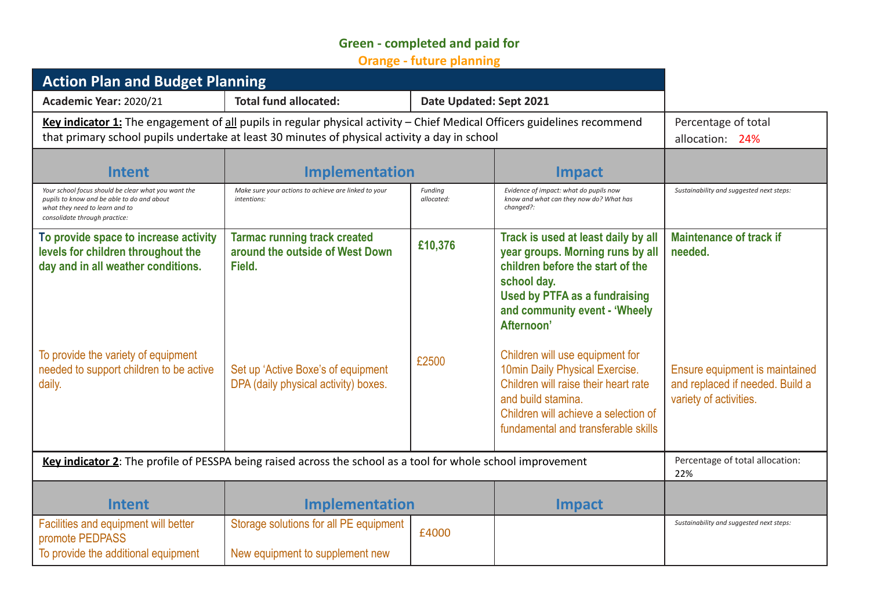## **Green - completed and paid for**

**Orange - future planning**

| <b>Action Plan and Budget Planning</b>                                                                                                                                                                                    |                                                                                  |                         |                                                                                                                                                                                                                   |                                                                                             |
|---------------------------------------------------------------------------------------------------------------------------------------------------------------------------------------------------------------------------|----------------------------------------------------------------------------------|-------------------------|-------------------------------------------------------------------------------------------------------------------------------------------------------------------------------------------------------------------|---------------------------------------------------------------------------------------------|
| Academic Year: 2020/21                                                                                                                                                                                                    | <b>Total fund allocated:</b>                                                     | Date Updated: Sept 2021 |                                                                                                                                                                                                                   |                                                                                             |
| Key indicator 1: The engagement of all pupils in regular physical activity - Chief Medical Officers guidelines recommend<br>that primary school pupils undertake at least 30 minutes of physical activity a day in school |                                                                                  |                         | Percentage of total<br>allocation: 24%                                                                                                                                                                            |                                                                                             |
| <b>Intent</b>                                                                                                                                                                                                             | <b>Implementation</b>                                                            |                         | <b>Impact</b>                                                                                                                                                                                                     |                                                                                             |
| Your school focus should be clear what you want the<br>pupils to know and be able to do and about<br>what they need to learn and to<br>consolidate through practice:                                                      | Make sure your actions to achieve are linked to your<br>intentions:              | Funding<br>allocated:   | Evidence of impact: what do pupils now<br>know and what can they now do? What has<br>changed?:                                                                                                                    | Sustainability and suggested next steps:                                                    |
| To provide space to increase activity<br>levels for children throughout the<br>day and in all weather conditions.                                                                                                         | <b>Tarmac running track created</b><br>around the outside of West Down<br>Field. | £10,376                 | Track is used at least daily by all<br>year groups. Morning runs by all<br>children before the start of the<br>school day.<br><b>Used by PTFA as a fundraising</b><br>and community event - 'Wheely<br>Afternoon' | <b>Maintenance of track if</b><br>needed.                                                   |
| To provide the variety of equipment<br>needed to support children to be active<br>daily.                                                                                                                                  | Set up 'Active Boxe's of equipment<br>DPA (daily physical activity) boxes.       | £2500                   | Children will use equipment for<br>10min Daily Physical Exercise.<br>Children will raise their heart rate<br>and build stamina.<br>Children will achieve a selection of<br>fundamental and transferable skills    | Ensure equipment is maintained<br>and replaced if needed. Build a<br>variety of activities. |
| Key indicator 2: The profile of PESSPA being raised across the school as a tool for whole school improvement                                                                                                              |                                                                                  |                         |                                                                                                                                                                                                                   | Percentage of total allocation:<br>22%                                                      |
| <b>Intent</b>                                                                                                                                                                                                             | <b>Implementation</b>                                                            |                         | <b>Impact</b>                                                                                                                                                                                                     |                                                                                             |
| Facilities and equipment will better<br>promote PEDPASS<br>To provide the additional equipment                                                                                                                            | Storage solutions for all PE equipment<br>New equipment to supplement new        | £4000                   |                                                                                                                                                                                                                   | Sustainability and suggested next steps:                                                    |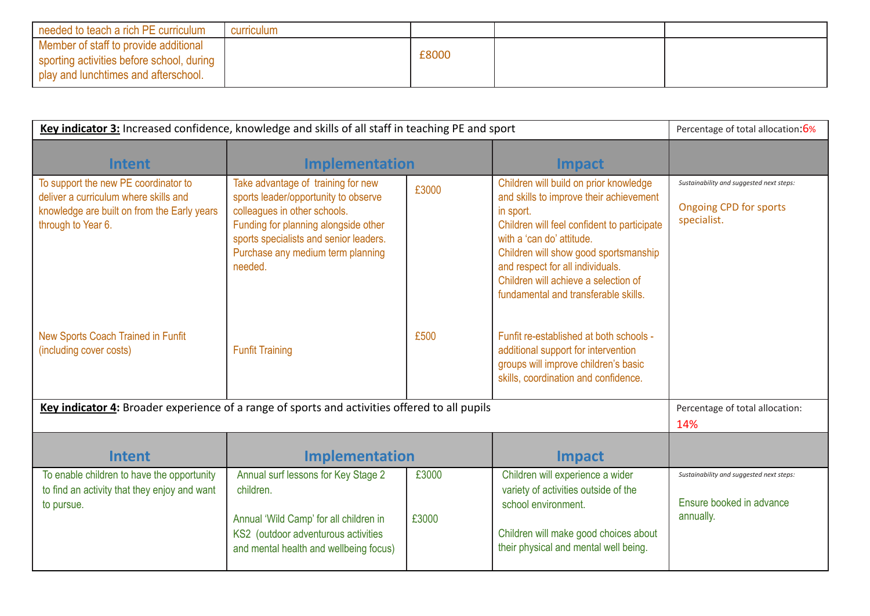| needed to teach a rich PE curriculum                                                                                         | curriculum |       |  |
|------------------------------------------------------------------------------------------------------------------------------|------------|-------|--|
| Member of staff to provide additional<br>sporting activities before school, during<br>I play and lunchtimes and afterschool. |            | £8000 |  |

| Key indicator 3: Increased confidence, knowledge and skills of all staff in teaching PE and sport                                                  |                                                                                                                                                                                                                                              |                |                                                                                                                                                                                                                                                                                                                                         | Percentage of total allocation:6%                                                        |
|----------------------------------------------------------------------------------------------------------------------------------------------------|----------------------------------------------------------------------------------------------------------------------------------------------------------------------------------------------------------------------------------------------|----------------|-----------------------------------------------------------------------------------------------------------------------------------------------------------------------------------------------------------------------------------------------------------------------------------------------------------------------------------------|------------------------------------------------------------------------------------------|
| <b>Intent</b>                                                                                                                                      | <b>Implementation</b>                                                                                                                                                                                                                        |                | <b>Impact</b>                                                                                                                                                                                                                                                                                                                           |                                                                                          |
| To support the new PE coordinator to<br>deliver a curriculum where skills and<br>knowledge are built on from the Early years<br>through to Year 6. | Take advantage of training for new<br>sports leader/opportunity to observe<br>colleagues in other schools.<br>Funding for planning alongside other<br>sports specialists and senior leaders.<br>Purchase any medium term planning<br>needed. | £3000          | Children will build on prior knowledge<br>and skills to improve their achievement<br>in sport.<br>Children will feel confident to participate<br>with a 'can do' attitude.<br>Children will show good sportsmanship<br>and respect for all individuals.<br>Children will achieve a selection of<br>fundamental and transferable skills. | Sustainability and suggested next steps:<br><b>Ongoing CPD for sports</b><br>specialist. |
| New Sports Coach Trained in Funfit<br>(including cover costs)                                                                                      | <b>Funfit Training</b>                                                                                                                                                                                                                       | £500           | Funfit re-established at both schools -<br>additional support for intervention<br>groups will improve children's basic<br>skills, coordination and confidence.                                                                                                                                                                          |                                                                                          |
| Key indicator 4: Broader experience of a range of sports and activities offered to all pupils                                                      |                                                                                                                                                                                                                                              |                | Percentage of total allocation:<br>14%                                                                                                                                                                                                                                                                                                  |                                                                                          |
| <b>Intent</b>                                                                                                                                      | <b>Implementation</b>                                                                                                                                                                                                                        |                | <b>Impact</b>                                                                                                                                                                                                                                                                                                                           |                                                                                          |
| To enable children to have the opportunity<br>to find an activity that they enjoy and want<br>to pursue.                                           | Annual surf lessons for Key Stage 2<br>children.<br>Annual 'Wild Camp' for all children in<br>KS2 (outdoor adventurous activities<br>and mental health and wellbeing focus)                                                                  | £3000<br>£3000 | Children will experience a wider<br>variety of activities outside of the<br>school environment.<br>Children will make good choices about<br>their physical and mental well being.                                                                                                                                                       | Sustainability and suggested next steps:<br>Ensure booked in advance<br>annually.        |